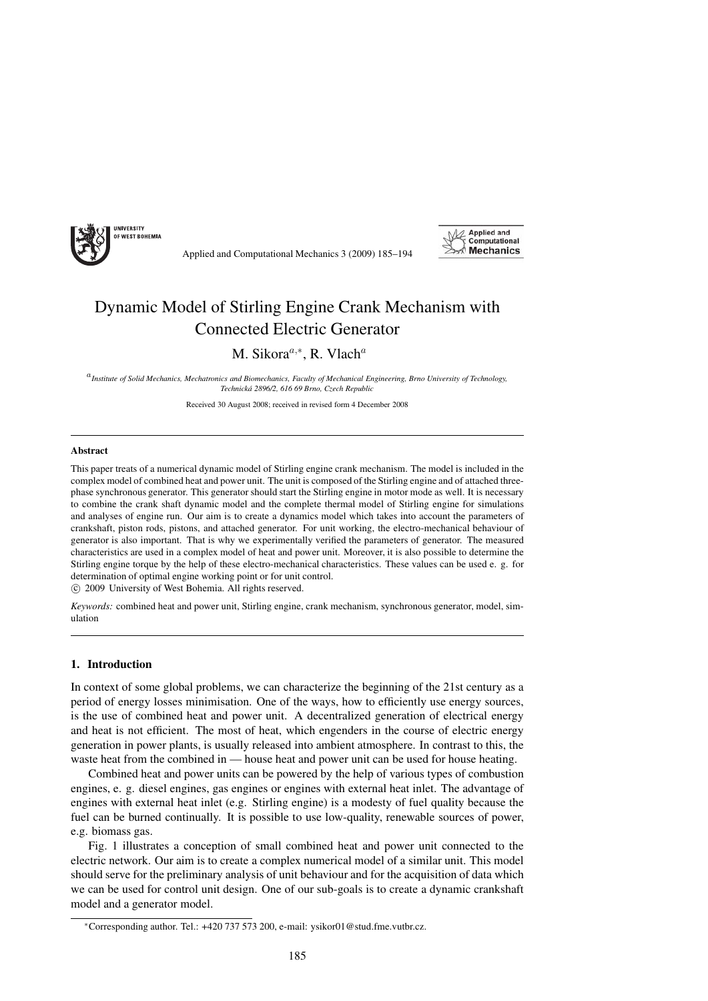

Applied and Computational Mechanics 3 (2009) 185–194



# Dynamic Model of Stirling Engine Crank Mechanism with Connected Electric Generator

M. Sikora<sup> $a,*$ </sup>, R. Vlach<sup>a</sup>

<sup>a</sup>*Institute of Solid Mechanics, Mechatronics and Biomechanics, Faculty of Mechanical Engineering, Brno University of Technology, Technick´a 2896/2, 616 69 Brno, Czech Republic*

Received 30 August 2008; received in revised form 4 December 2008

#### Abstract

This paper treats of a numerical dynamic model of Stirling engine crank mechanism. The model is included in the complex model of combined heat and power unit. The unit is composed of the Stirling engine and of attached threephase synchronous generator. This generator should start the Stirling engine in motor mode as well. It is necessary to combine the crank shaft dynamic model and the complete thermal model of Stirling engine for simulations and analyses of engine run. Our aim is to create a dynamics model which takes into account the parameters of crankshaft, piston rods, pistons, and attached generator. For unit working, the electro-mechanical behaviour of generator is also important. That is why we experimentally verified the parameters of generator. The measured characteristics are used in a complex model of heat and power unit. Moreover, it is also possible to determine the Stirling engine torque by the help of these electro-mechanical characteristics. These values can be used e. g. for determination of optimal engine working point or for unit control.

c 2009 University of West Bohemia. All rights reserved.

*Keywords:* combined heat and power unit, Stirling engine, crank mechanism, synchronous generator, model, simulation

# 1. Introduction

In context of some global problems, we can characterize the beginning of the 21st century as a period of energy losses minimisation. One of the ways, how to efficiently use energy sources, is the use of combined heat and power unit. A decentralized generation of electrical energy and heat is not efficient. The most of heat, which engenders in the course of electric energy generation in power plants, is usually released into ambient atmosphere. In contrast to this, the waste heat from the combined in — house heat and power unit can be used for house heating.

Combined heat and power units can be powered by the help of various types of combustion engines, e. g. diesel engines, gas engines or engines with external heat inlet. The advantage of engines with external heat inlet (e.g. Stirling engine) is a modesty of fuel quality because the fuel can be burned continually. It is possible to use low-quality, renewable sources of power, e.g. biomass gas.

Fig. 1 illustrates a conception of small combined heat and power unit connected to the electric network. Our aim is to create a complex numerical model of a similar unit. This model should serve for the preliminary analysis of unit behaviour and for the acquisition of data which we can be used for control unit design. One of our sub-goals is to create a dynamic crankshaft model and a generator model.

<sup>∗</sup>Corresponding author. Tel.: +420 737 573 200, e-mail: ysikor01@stud.fme.vutbr.cz.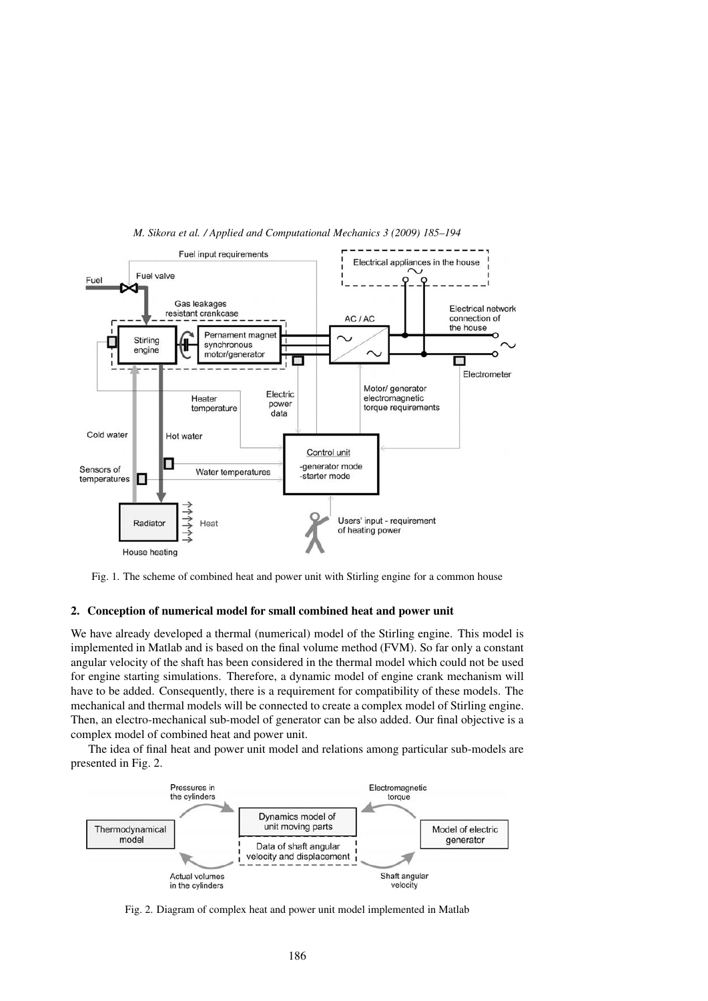

*M. Sikora et al. / Applied and Computational Mechanics 3 (2009) 185–194*

Fig. 1. The scheme of combined heat and power unit with Stirling engine for a common house

# 2. Conception of numerical model for small combined heat and power unit

We have already developed a thermal (numerical) model of the Stirling engine. This model is implemented in Matlab and is based on the final volume method (FVM). So far only a constant angular velocity of the shaft has been considered in the thermal model which could not be used for engine starting simulations. Therefore, a dynamic model of engine crank mechanism will have to be added. Consequently, there is a requirement for compatibility of these models. The mechanical and thermal models will be connected to create a complex model of Stirling engine. Then, an electro-mechanical sub-model of generator can be also added. Our final objective is a complex model of combined heat and power unit.

The idea of final heat and power unit model and relations among particular sub-models are presented in Fig. 2.



Fig. 2. Diagram of complex heat and power unit model implemented in Matlab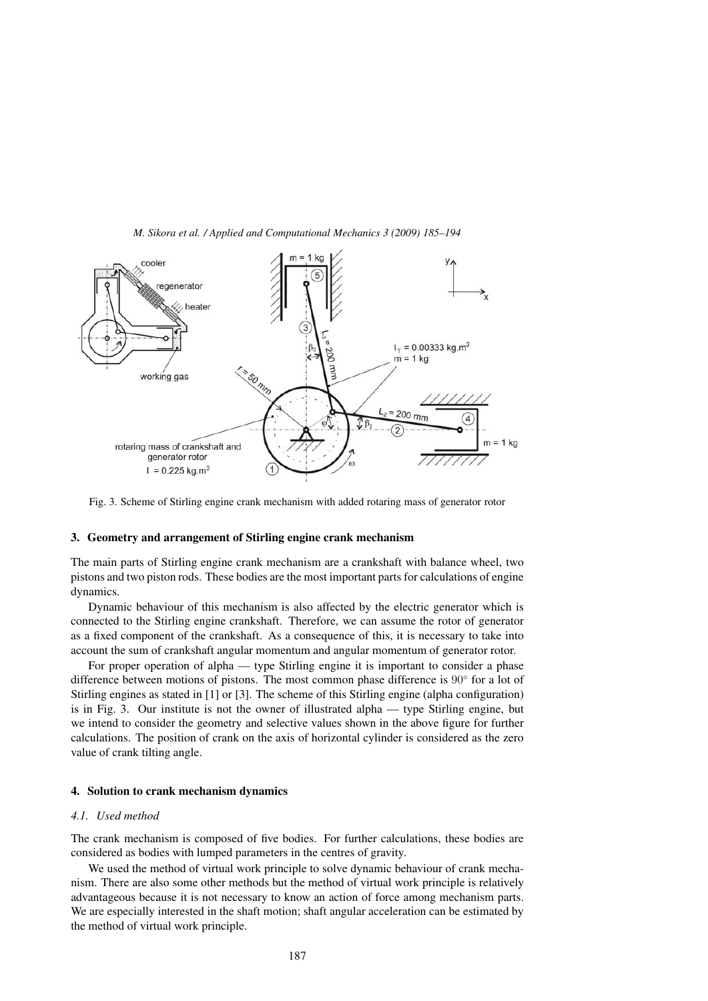

Fig. 3. Scheme of Stirling engine crank mechanism with added rotaring mass of generator rotor

## 3. Geometry and arrangement of Stirling engine crank mechanism

The main parts of Stirling engine crank mechanism are a crankshaft with balance wheel, two pistons and two piston rods. These bodies are the most important parts for calculations of engine dynamics.

Dynamic behaviour of this mechanism is also affected by the electric generator which is connected to the Stirling engine crankshaft. Therefore, we can assume the rotor of generator as a fixed component of the crankshaft. As a consequence of this, it is necessary to take into account the sum of crankshaft angular momentum and angular momentum of generator rotor.

For proper operation of alpha — type Stirling engine it is important to consider a phase difference between motions of pistons. The most common phase difference is  $90°$  for a lot of Stirling engines as stated in [1] or [3]. The scheme of this Stirling engine (alpha configuration) is in Fig. 3. Our institute is not the owner of illustrated alpha — type Stirling engine, but we intend to consider the geometry and selective values shown in the above figure for further calculations. The position of crank on the axis of horizontal cylinder is considered as the zero value of crank tilting angle.

#### 4. Solution to crank mechanism dynamics

#### *4.1. Used method*

The crank mechanism is composed of five bodies. For further calculations, these bodies are considered as bodies with lumped parameters in the centres of gravity.

We used the method of virtual work principle to solve dynamic behaviour of crank mechanism. There are also some other methods but the method of virtual work principle is relatively advantageous because it is not necessary to know an action of force among mechanism parts. We are especially interested in the shaft motion; shaft angular acceleration can be estimated by the method of virtual work principle.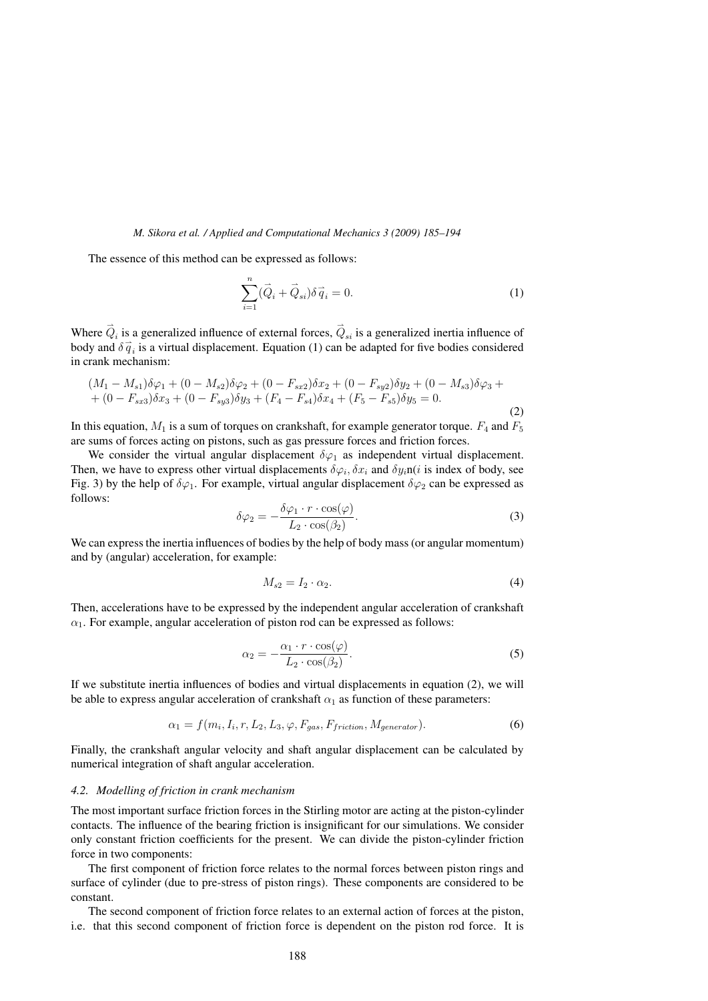The essence of this method can be expressed as follows:

$$
\sum_{i=1}^{n} (\vec{Q}_i + \vec{Q}_{si}) \delta \vec{q}_i = 0.
$$
 (1)

Where  $\vec{Q}_i$  is a generalized influence of external forces,  $\vec{Q}_{si}$  is a generalized inertia influence of body and  $\delta \vec{q}_i$  is a virtual displacement. Equation (1) can be adapted for five bodies considered in crank mechanism:

$$
(M_1 - M_{s1})\delta\varphi_1 + (0 - M_{s2})\delta\varphi_2 + (0 - F_{sx2})\delta x_2 + (0 - F_{sy2})\delta y_2 + (0 - M_{s3})\delta\varphi_3 + (0 - F_{sx3})\delta x_3 + (0 - F_{sy3})\delta y_3 + (F_4 - F_{s4})\delta x_4 + (F_5 - F_{s5})\delta y_5 = 0.
$$
\n(2)

In this equation,  $M_1$  is a sum of torques on crankshaft, for example generator torque.  $F_4$  and  $F_5$ are sums of forces acting on pistons, such as gas pressure forces and friction forces.

We consider the virtual angular displacement  $\delta\varphi_1$  as independent virtual displacement. Then, we have to express other virtual displacements  $\delta\varphi_i, \delta x_i$  and  $\delta y_i$ n(i is index of body, see Fig. 3) by the help of  $\delta\varphi_1$ . For example, virtual angular displacement  $\delta\varphi_2$  can be expressed as follows:

$$
\delta\varphi_2 = -\frac{\delta\varphi_1 \cdot r \cdot \cos(\varphi)}{L_2 \cdot \cos(\beta_2)}.
$$
\n(3)

We can express the inertia influences of bodies by the help of body mass (or angular momentum) and by (angular) acceleration, for example:

$$
M_{s2} = I_2 \cdot \alpha_2. \tag{4}
$$

Then, accelerations have to be expressed by the independent angular acceleration of crankshaft  $\alpha_1$ . For example, angular acceleration of piston rod can be expressed as follows:

$$
\alpha_2 = -\frac{\alpha_1 \cdot r \cdot \cos(\varphi)}{L_2 \cdot \cos(\beta_2)}.\tag{5}
$$

If we substitute inertia influences of bodies and virtual displacements in equation (2), we will be able to express angular acceleration of crankshaft  $\alpha_1$  as function of these parameters:

$$
\alpha_1 = f(m_i, I_i, r, L_2, L_3, \varphi, F_{gas}, F_{friction}, M_{generator}). \tag{6}
$$

Finally, the crankshaft angular velocity and shaft angular displacement can be calculated by numerical integration of shaft angular acceleration.

#### *4.2. Modelling of friction in crank mechanism*

The most important surface friction forces in the Stirling motor are acting at the piston-cylinder contacts. The influence of the bearing friction is insignificant for our simulations. We consider only constant friction coefficients for the present. We can divide the piston-cylinder friction force in two components:

The first component of friction force relates to the normal forces between piston rings and surface of cylinder (due to pre-stress of piston rings). These components are considered to be constant.

The second component of friction force relates to an external action of forces at the piston, i.e. that this second component of friction force is dependent on the piston rod force. It is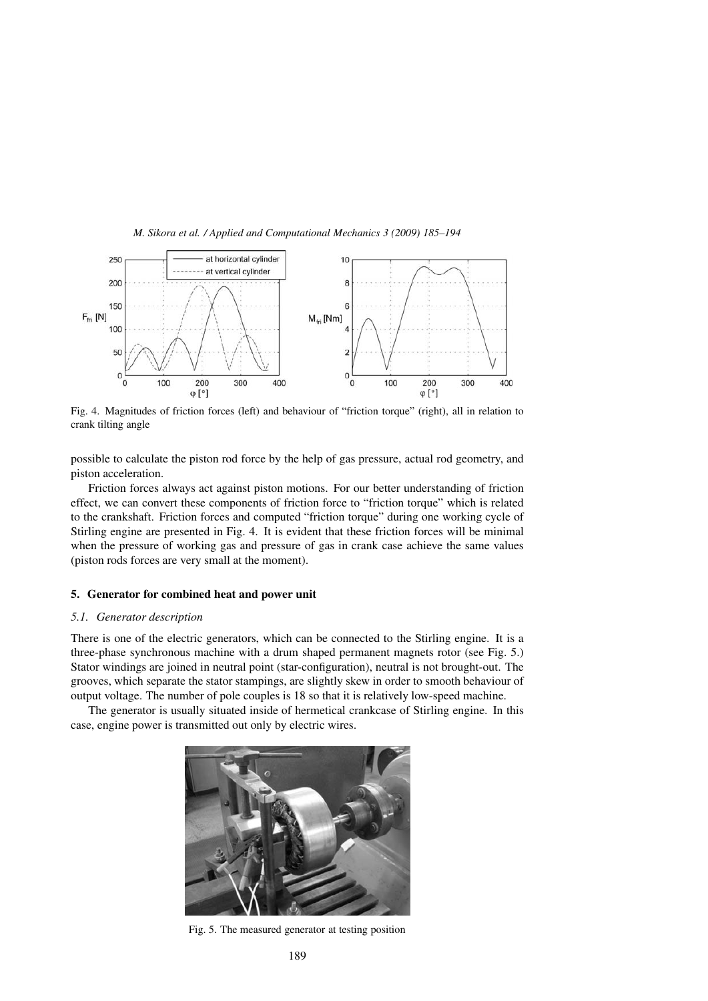## *M. Sikora et al. / Applied and Computational Mechanics 3 (2009) 185–194*



Fig. 4. Magnitudes of friction forces (left) and behaviour of "friction torque" (right), all in relation to crank tilting angle

possible to calculate the piston rod force by the help of gas pressure, actual rod geometry, and piston acceleration.

Friction forces always act against piston motions. For our better understanding of friction effect, we can convert these components of friction force to "friction torque" which is related to the crankshaft. Friction forces and computed "friction torque" during one working cycle of Stirling engine are presented in Fig. 4. It is evident that these friction forces will be minimal when the pressure of working gas and pressure of gas in crank case achieve the same values (piston rods forces are very small at the moment).

#### 5. Generator for combined heat and power unit

## *5.1. Generator description*

There is one of the electric generators, which can be connected to the Stirling engine. It is a three-phase synchronous machine with a drum shaped permanent magnets rotor (see Fig. 5.) Stator windings are joined in neutral point (star-configuration), neutral is not brought-out. The grooves, which separate the stator stampings, are slightly skew in order to smooth behaviour of output voltage. The number of pole couples is 18 so that it is relatively low-speed machine.

The generator is usually situated inside of hermetical crankcase of Stirling engine. In this case, engine power is transmitted out only by electric wires.



Fig. 5. The measured generator at testing position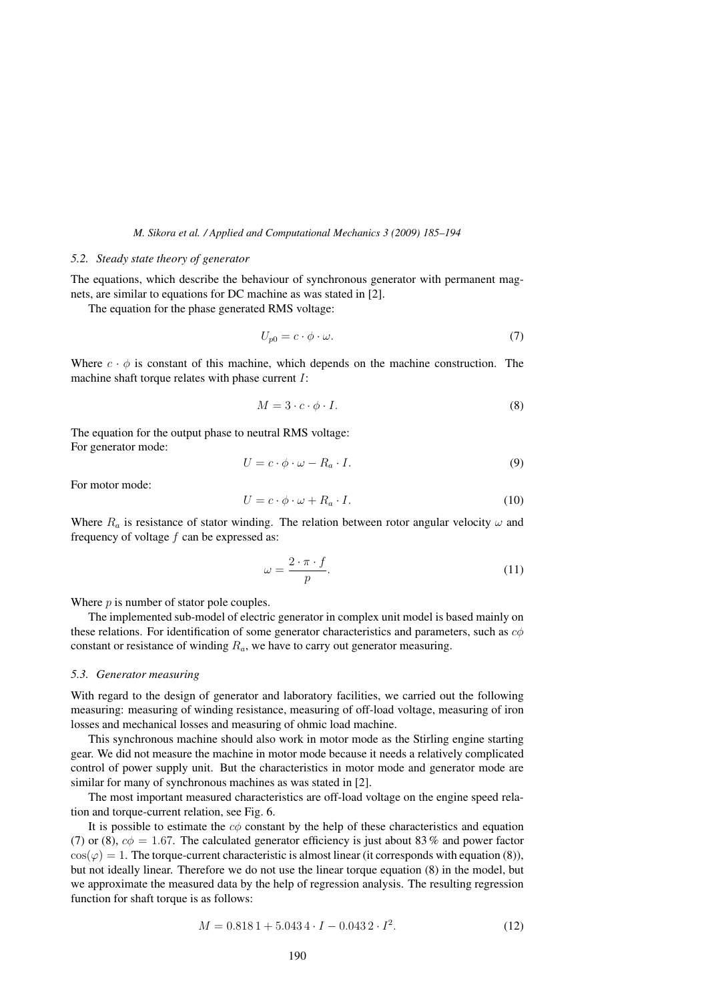#### *5.2. Steady state theory of generator*

The equations, which describe the behaviour of synchronous generator with permanent magnets, are similar to equations for DC machine as was stated in [2].

The equation for the phase generated RMS voltage:

$$
U_{p0} = c \cdot \phi \cdot \omega. \tag{7}
$$

Where  $c \cdot \phi$  is constant of this machine, which depends on the machine construction. The machine shaft torque relates with phase current *:* 

$$
M = 3 \cdot c \cdot \phi \cdot I. \tag{8}
$$

The equation for the output phase to neutral RMS voltage: For generator mode:

$$
U = c \cdot \phi \cdot \omega - R_a \cdot I. \tag{9}
$$

For motor mode:

$$
U = c \cdot \phi \cdot \omega + R_a \cdot I. \tag{10}
$$

Where  $R_a$  is resistance of stator winding. The relation between rotor angular velocity  $\omega$  and frequency of voltage  $f$  can be expressed as:

$$
\omega = \frac{2 \cdot \pi \cdot f}{p}.\tag{11}
$$

Where  $p$  is number of stator pole couples.

The implemented sub-model of electric generator in complex unit model is based mainly on these relations. For identification of some generator characteristics and parameters, such as  $c\phi$ constant or resistance of winding  $R_a$ , we have to carry out generator measuring.

#### *5.3. Generator measuring*

With regard to the design of generator and laboratory facilities, we carried out the following measuring: measuring of winding resistance, measuring of off-load voltage, measuring of iron losses and mechanical losses and measuring of ohmic load machine.

This synchronous machine should also work in motor mode as the Stirling engine starting gear. We did not measure the machine in motor mode because it needs a relatively complicated control of power supply unit. But the characteristics in motor mode and generator mode are similar for many of synchronous machines as was stated in [2].

The most important measured characteristics are off-load voltage on the engine speed relation and torque-current relation, see Fig. 6.

It is possible to estimate the  $c\phi$  constant by the help of these characteristics and equation (7) or (8),  $c\phi = 1.67$ . The calculated generator efficiency is just about 83 % and power factor  $\cos(\varphi)=1$ . The torque-current characteristic is almost linear (it corresponds with equation (8)), but not ideally linear. Therefore we do not use the linear torque equation (8) in the model, but we approximate the measured data by the help of regression analysis. The resulting regression function for shaft torque is as follows:

$$
M = 0.8181 + 5.0434 \cdot I - 0.0432 \cdot I^2. \tag{12}
$$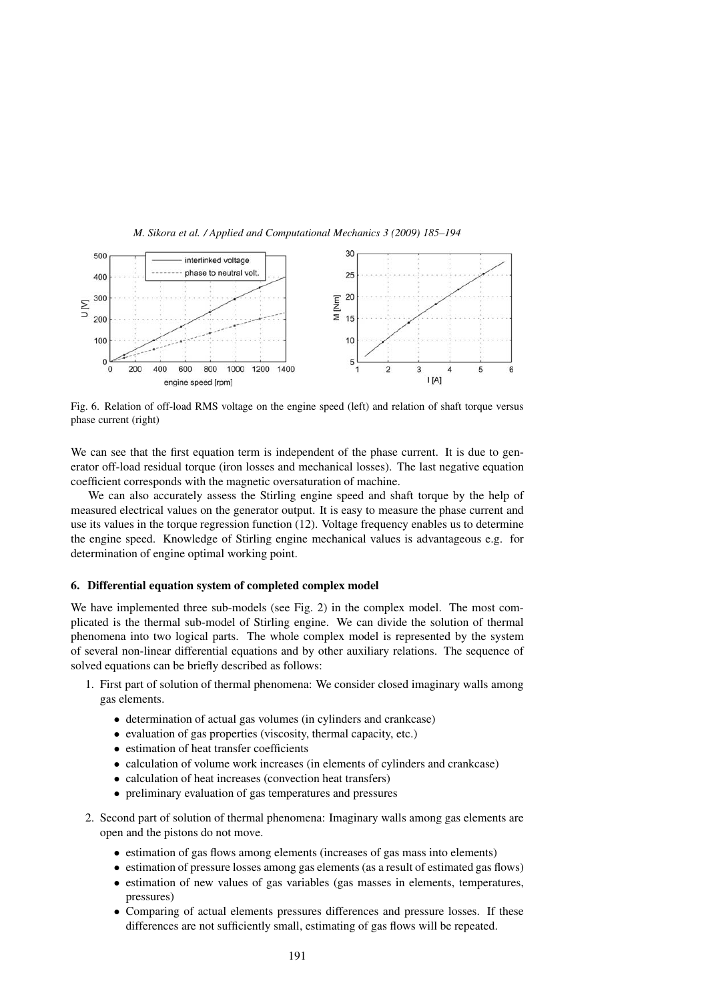

Fig. 6. Relation of off-load RMS voltage on the engine speed (left) and relation of shaft torque versus phase current (right)

We can see that the first equation term is independent of the phase current. It is due to generator off-load residual torque (iron losses and mechanical losses). The last negative equation coefficient corresponds with the magnetic oversaturation of machine.

We can also accurately assess the Stirling engine speed and shaft torque by the help of measured electrical values on the generator output. It is easy to measure the phase current and use its values in the torque regression function (12). Voltage frequency enables us to determine the engine speed. Knowledge of Stirling engine mechanical values is advantageous e.g. for determination of engine optimal working point.

## 6. Differential equation system of completed complex model

We have implemented three sub-models (see Fig. 2) in the complex model. The most complicated is the thermal sub-model of Stirling engine. We can divide the solution of thermal phenomena into two logical parts. The whole complex model is represented by the system of several non-linear differential equations and by other auxiliary relations. The sequence of solved equations can be briefly described as follows:

- 1. First part of solution of thermal phenomena: We consider closed imaginary walls among gas elements.
	- determination of actual gas volumes (in cylinders and crankcase)
	- evaluation of gas properties (viscosity, thermal capacity, etc.)
	- estimation of heat transfer coefficients
	- calculation of volume work increases (in elements of cylinders and crankcase)
	- calculation of heat increases (convection heat transfers)
	- preliminary evaluation of gas temperatures and pressures
- 2. Second part of solution of thermal phenomena: Imaginary walls among gas elements are open and the pistons do not move.
	- estimation of gas flows among elements (increases of gas mass into elements)
	- estimation of pressure losses among gas elements (as a result of estimated gas flows)
	- estimation of new values of gas variables (gas masses in elements, temperatures, pressures)
	- Comparing of actual elements pressures differences and pressure losses. If these differences are not sufficiently small, estimating of gas flows will be repeated.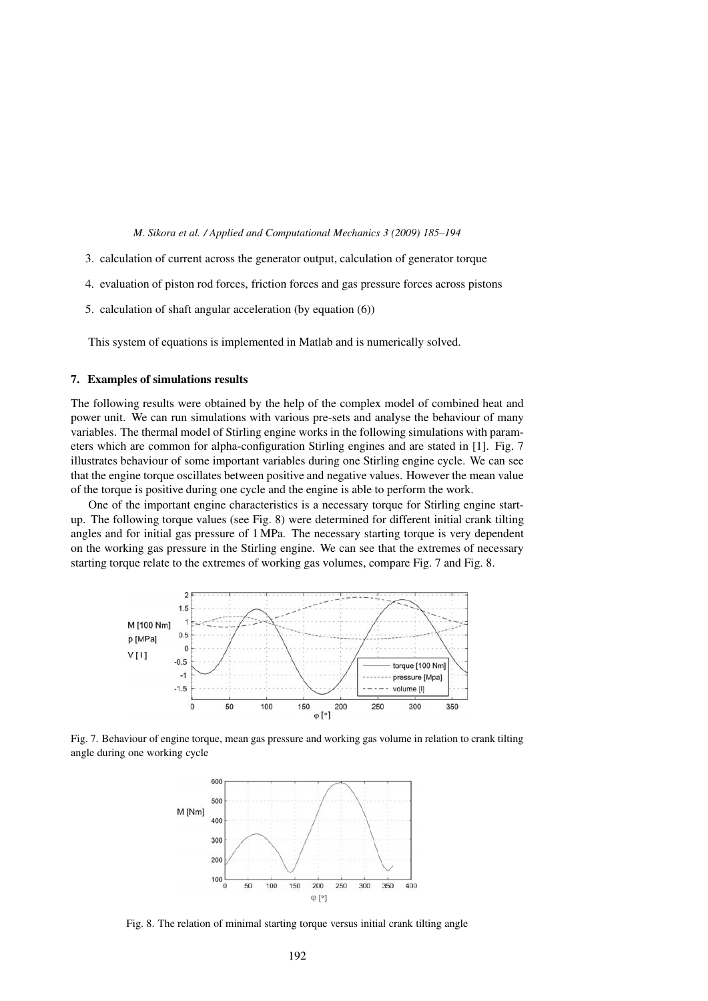*M. Sikora et al. / Applied and Computational Mechanics 3 (2009) 185–194*

- 3. calculation of current across the generator output, calculation of generator torque
- 4. evaluation of piston rod forces, friction forces and gas pressure forces across pistons
- 5. calculation of shaft angular acceleration (by equation (6))

This system of equations is implemented in Matlab and is numerically solved.

#### 7. Examples of simulations results

The following results were obtained by the help of the complex model of combined heat and power unit. We can run simulations with various pre-sets and analyse the behaviour of many variables. The thermal model of Stirling engine works in the following simulations with parameters which are common for alpha-configuration Stirling engines and are stated in [1]. Fig. 7 illustrates behaviour of some important variables during one Stirling engine cycle. We can see that the engine torque oscillates between positive and negative values. However the mean value of the torque is positive during one cycle and the engine is able to perform the work.

One of the important engine characteristics is a necessary torque for Stirling engine startup. The following torque values (see Fig. 8) were determined for different initial crank tilting angles and for initial gas pressure of 1 MPa. The necessary starting torque is very dependent on the working gas pressure in the Stirling engine. We can see that the extremes of necessary starting torque relate to the extremes of working gas volumes, compare Fig. 7 and Fig. 8.



Fig. 7. Behaviour of engine torque, mean gas pressure and working gas volume in relation to crank tilting angle during one working cycle



Fig. 8. The relation of minimal starting torque versus initial crank tilting angle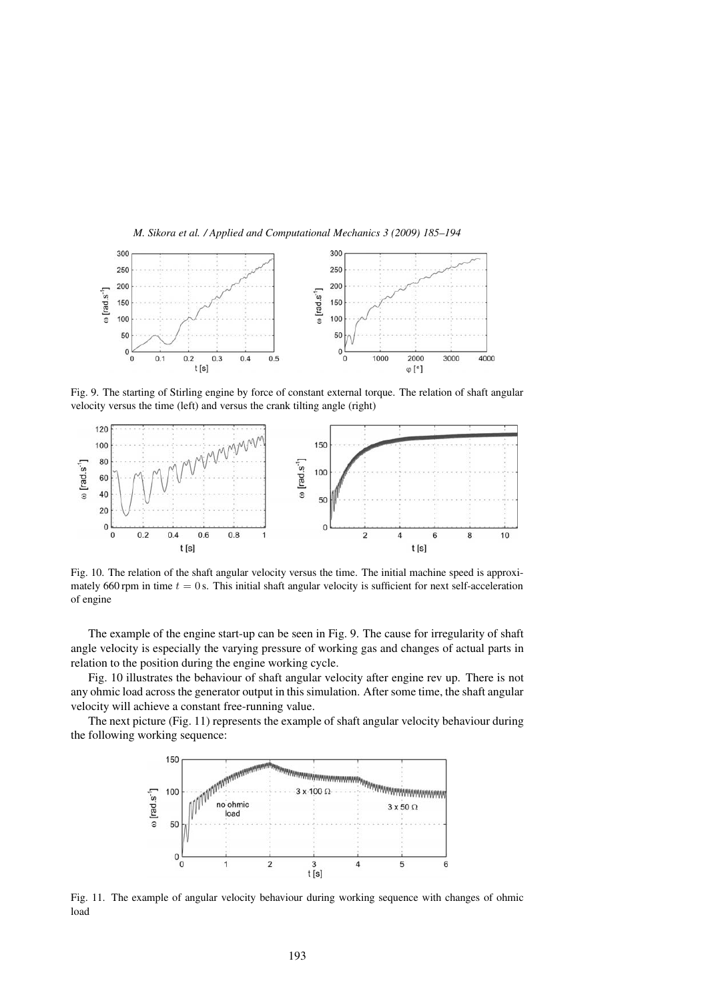



Fig. 9. The starting of Stirling engine by force of constant external torque. The relation of shaft angular velocity versus the time (left) and versus the crank tilting angle (right)



Fig. 10. The relation of the shaft angular velocity versus the time. The initial machine speed is approximately 660 rpm in time  $t = 0$  s. This initial shaft angular velocity is sufficient for next self-acceleration of engine

The example of the engine start-up can be seen in Fig. 9. The cause for irregularity of shaft angle velocity is especially the varying pressure of working gas and changes of actual parts in relation to the position during the engine working cycle.

Fig. 10 illustrates the behaviour of shaft angular velocity after engine rev up. There is not any ohmic load across the generator output in this simulation. After some time, the shaft angular velocity will achieve a constant free-running value.

The next picture (Fig. 11) represents the example of shaft angular velocity behaviour during the following working sequence:



Fig. 11. The example of angular velocity behaviour during working sequence with changes of ohmic load